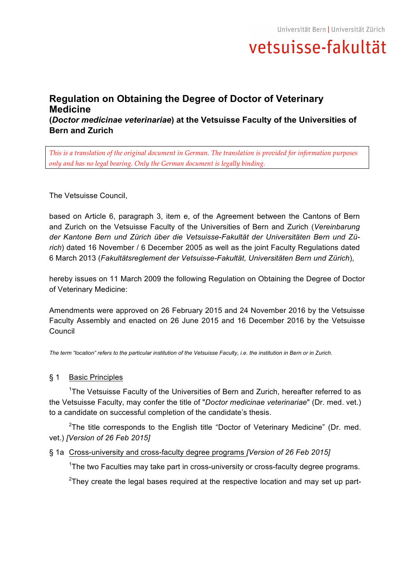## **Regulation on Obtaining the Degree of Doctor of Veterinary Medicine (***Doctor medicinae veterinariae***) at the Vetsuisse Faculty of the Universities of Bern and Zurich**

*This is a translation of the original document in German. The translation is provided for information purposes only and has no legal bearing. Only the German document is legally binding.*

The Vetsuisse Council,

based on Article 6, paragraph 3, item e, of the Agreement between the Cantons of Bern and Zurich on the Vetsuisse Faculty of the Universities of Bern and Zurich (*Vereinbarung der Kantone Bern und Zürich über die Vetsuisse-Fakultät der Universitäten Bern und Zürich*) dated 16 November / 6 December 2005 as well as the joint Faculty Regulations dated 6 March 2013 (*Fakultätsreglement der Vetsuisse-Fakultät, Universitäten Bern und Zürich*),

hereby issues on 11 March 2009 the following Regulation on Obtaining the Degree of Doctor of Veterinary Medicine:

Amendments were approved on 26 February 2015 and 24 November 2016 by the Vetsuisse Faculty Assembly and enacted on 26 June 2015 and 16 December 2016 by the Vetsuisse Council

*The term "location" refers to the particular institution of the Vetsuisse Faculty, i.e. the institution in Bern or in Zurich.*

## § 1 Basic Principles

<sup>1</sup>The Vetsuisse Faculty of the Universities of Bern and Zurich, hereafter referred to as the Vetsuisse Faculty, may confer the title of "*Doctor medicinae veterinariae*" (Dr. med. vet.) to a candidate on successful completion of the candidate's thesis.

<sup>2</sup>The title corresponds to the English title "Doctor of Veterinary Medicine" (Dr. med. vet.) *[Version of 26 Feb 2015]*

§ 1a Cross-university and cross-faculty degree programs *[Version of 26 Feb 2015]*

<sup>1</sup>The two Faculties may take part in cross-university or cross-faculty degree programs.

 $2$ They create the legal bases required at the respective location and may set up part-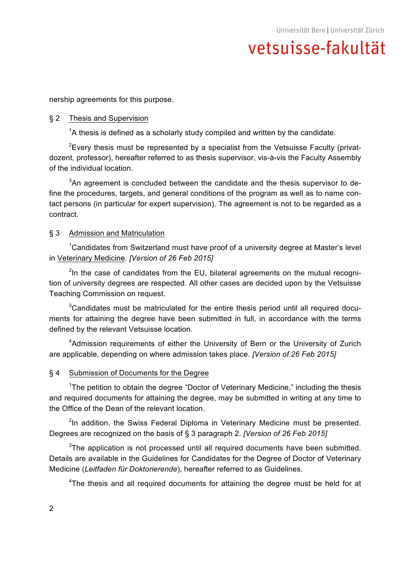nership agreements for this purpose.

### § 2 Thesis and Supervision

 $1/4$  thesis is defined as a scholarly study compiled and written by the candidate.

<sup>2</sup> Every thesis must be represented by a specialist from the Vetsuisse Faculty (privatdozent, professor), hereafter referred to as thesis supervisor, vis-à-vis the Faculty Assembly of the individual location.

 $3$ An agreement is concluded between the candidate and the thesis supervisor to define the procedures, targets, and general conditions of the program as well as to name contact persons (in particular for expert supervision). The agreement is not to be regarded as a contract.

### § 3 Admission and Matriculation

<sup>1</sup>Candidates from Switzerland must have proof of a university degree at Master's level in Veterinary Medicine. *[Version of 26 Feb 2015]*

 $2$ In the case of candidates from the EU, bilateral agreements on the mutual recognition of university degrees are respected. All other cases are decided upon by the Vetsuisse Teaching Commission on request.

 $3$ Candidates must be matriculated for the entire thesis period until all required documents for attaining the degree have been submitted in full, in accordance with the terms defined by the relevant Vetsuisse location.

<sup>4</sup>Admission requirements of either the University of Bern or the University of Zurich are applicable, depending on where admission takes place. *[Version of 26 Feb 2015]*

### § 4 Submission of Documents for the Degree

<sup>1</sup>The petition to obtain the degree "Doctor of Veterinary Medicine," including the thesis and required documents for attaining the degree, may be submitted in writing at any time to the Office of the Dean of the relevant location.

<sup>2</sup>In addition, the Swiss Federal Diploma in Veterinary Medicine must be presented. Degrees are recognized on the basis of § 3 paragraph 2. *[Version of 26 Feb 2015]*

 $3$ The application is not processed until all required documents have been submitted. Details are available in the Guidelines for Candidates for the Degree of Doctor of Veterinary Medicine (*Leitfaden für Doktorierende*), hereafter referred to as Guidelines.

<sup>4</sup>The thesis and all required documents for attaining the degree must be held for at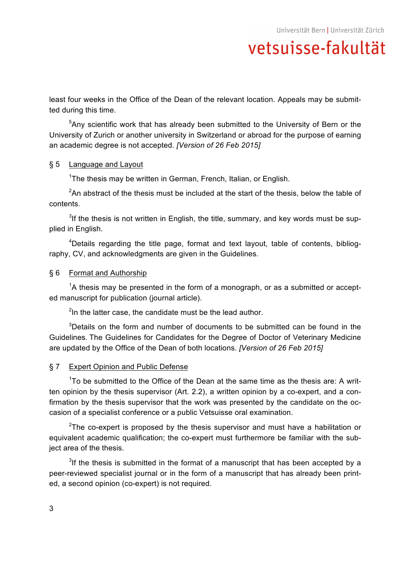least four weeks in the Office of the Dean of the relevant location. Appeals may be submitted during this time.

<sup>5</sup>Any scientific work that has already been submitted to the University of Bern or the University of Zurich or another university in Switzerland or abroad for the purpose of earning an academic degree is not accepted. *[Version of 26 Feb 2015]*

## § 5 Language and Layout

<sup>1</sup>The thesis may be written in German, French, Italian, or English.

 $2$ An abstract of the thesis must be included at the start of the thesis, below the table of contents.

 $3$ If the thesis is not written in English, the title, summary, and key words must be supplied in English.

<sup>4</sup>Details regarding the title page, format and text layout, table of contents, bibliography, CV, and acknowledgments are given in the Guidelines.

## § 6 Format and Authorship

 ${}^{1}$ A thesis may be presented in the form of a monograph, or as a submitted or accepted manuscript for publication (journal article).

 $2$ In the latter case, the candidate must be the lead author.

 $3$ Details on the form and number of documents to be submitted can be found in the Guidelines. The Guidelines for Candidates for the Degree of Doctor of Veterinary Medicine are updated by the Office of the Dean of both locations. *[Version of 26 Feb 2015]*

## § 7 Expert Opinion and Public Defense

 $1$ To be submitted to the Office of the Dean at the same time as the thesis are: A written opinion by the thesis supervisor (Art. 2.2), a written opinion by a co-expert, and a confirmation by the thesis supervisor that the work was presented by the candidate on the occasion of a specialist conference or a public Vetsuisse oral examination.

 $2$ The co-expert is proposed by the thesis supervisor and must have a habilitation or equivalent academic qualification; the co-expert must furthermore be familiar with the subject area of the thesis.

 $3$ If the thesis is submitted in the format of a manuscript that has been accepted by a peer-reviewed specialist journal or in the form of a manuscript that has already been printed, a second opinion (co-expert) is not required.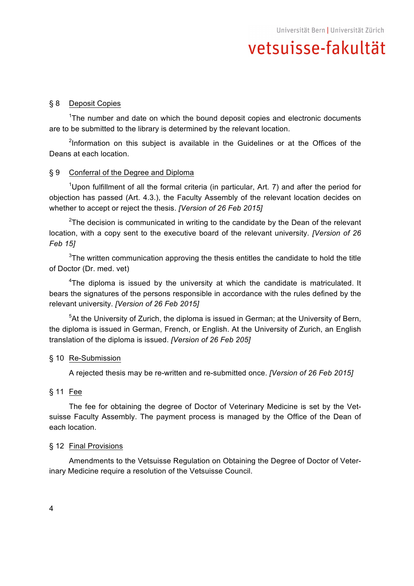## § 8 Deposit Copies

<sup>1</sup>The number and date on which the bound deposit copies and electronic documents are to be submitted to the library is determined by the relevant location.

<sup>2</sup>Information on this subject is available in the Guidelines or at the Offices of the Deans at each location.

### § 9 Conferral of the Degree and Diploma

<sup>1</sup>Upon fulfillment of all the formal criteria (in particular, Art. 7) and after the period for objection has passed (Art. 4.3.), the Faculty Assembly of the relevant location decides on whether to accept or reject the thesis. *[Version of 26 Feb 2015]*

<sup>2</sup>The decision is communicated in writing to the candidate by the Dean of the relevant location, with a copy sent to the executive board of the relevant university. *[Version of 26 Feb 15]*

 $3$ The written communication approving the thesis entitles the candidate to hold the title of Doctor (Dr. med. vet)

<sup>4</sup>The diploma is issued by the university at which the candidate is matriculated. It bears the signatures of the persons responsible in accordance with the rules defined by the relevant university. *[Version of 26 Feb 2015]*

<sup>5</sup>At the University of Zurich, the diploma is issued in German; at the University of Bern, the diploma is issued in German, French, or English. At the University of Zurich, an English translation of the diploma is issued. *[Version of 26 Feb 205]*

### § 10 Re-Submission

A rejected thesis may be re-written and re-submitted once. *[Version of 26 Feb 2015]*

### § 11 Fee

The fee for obtaining the degree of Doctor of Veterinary Medicine is set by the Vetsuisse Faculty Assembly. The payment process is managed by the Office of the Dean of each location.

### § 12 Final Provisions

Amendments to the Vetsuisse Regulation on Obtaining the Degree of Doctor of Veterinary Medicine require a resolution of the Vetsuisse Council.